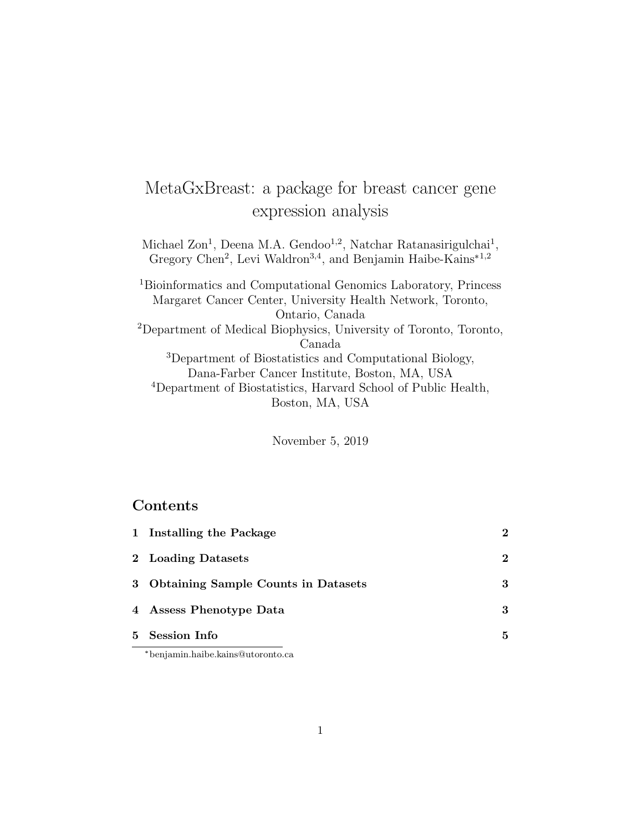# MetaGxBreast: a package for breast cancer gene expression analysis

Michael Zon<sup>1</sup>, Deena M.A. Gendoo<sup>1,2</sup>, Natchar Ratanasirigulchai<sup>1</sup>, Gregory Chen<sup>2</sup>, Levi Waldron<sup>3,4</sup>, and Benjamin Haibe-Kains<sup>\*1,2</sup>

<sup>1</sup>Bioinformatics and Computational Genomics Laboratory, Princess Margaret Cancer Center, University Health Network, Toronto, Ontario, Canada <sup>2</sup>Department of Medical Biophysics, University of Toronto, Toronto, Canada <sup>3</sup>Department of Biostatistics and Computational Biology, Dana-Farber Cancer Institute, Boston, MA, USA <sup>4</sup>Department of Biostatistics, Harvard School of Public Health, Boston, MA, USA

November 5, 2019

#### Contents

| 5 Session Info                        | 5             |
|---------------------------------------|---------------|
| 4 Assess Phenotype Data               | 3             |
| 3 Obtaining Sample Counts in Datasets | 3             |
| 2 Loading Datasets                    | 2             |
| 1 Installing the Package              | $\mathcal{D}$ |

\*benjamin.haibe.kains@utoronto.ca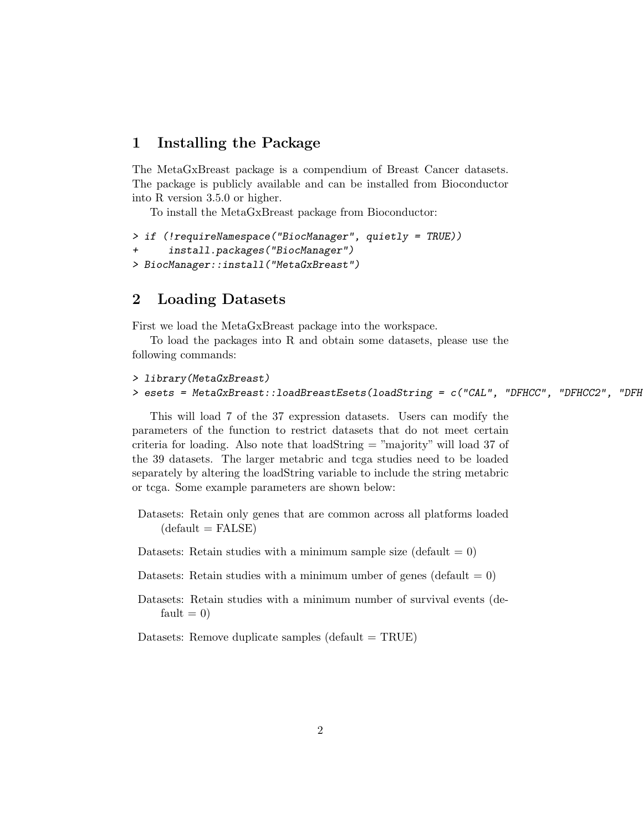#### 1 Installing the Package

The MetaGxBreast package is a compendium of Breast Cancer datasets. The package is publicly available and can be installed from Bioconductor into R version 3.5.0 or higher.

To install the MetaGxBreast package from Bioconductor:

```
> if (!requireNamespace("BiocManager", quietly = TRUE))
+ install.packages("BiocManager")
> BiocManager::install("MetaGxBreast")
```
#### 2 Loading Datasets

First we load the MetaGxBreast package into the workspace.

To load the packages into R and obtain some datasets, please use the following commands:

```
> library(MetaGxBreast)
> esets = MetaGxBreast::loadBreastEsets(loadString = c("CAL", "DFHCC", "DFHCC2", "DFH
```
This will load 7 of the 37 expression datasets. Users can modify the parameters of the function to restrict datasets that do not meet certain criteria for loading. Also note that loadString = "majority" will load 37 of the 39 datasets. The larger metabric and tcga studies need to be loaded separately by altering the loadString variable to include the string metabric or tcga. Some example parameters are shown below:

Datasets: Retain only genes that are common across all platforms loaded  $(default = FALSE)$ 

Datasets: Retain studies with a minimum sample size (default  $= 0$ )

Datasets: Retain studies with a minimum umber of genes (default  $= 0$ )

Datasets: Retain studies with a minimum number of survival events (de $fault = 0$ 

Datasets: Remove duplicate samples  $(\text{default} = \text{TRUE})$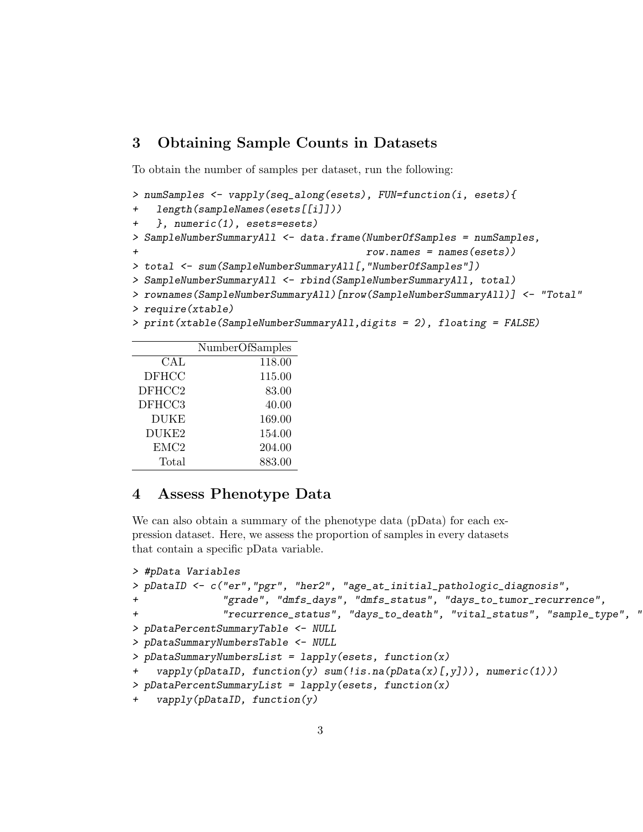#### 3 Obtaining Sample Counts in Datasets

To obtain the number of samples per dataset, run the following:

```
> numSamples <- vapply(seq_along(esets), FUN=function(i, esets){
+ length(sampleNames(esets[[i]]))
+ }, numeric(1), esets=esets)
> SampleNumberSummaryAll <- data.frame(NumberOfSamples = numSamples,
                                       row.name = names(es))
> total <- sum (SampleNumberSummaryAll[, "NumberOfSamples"])
> SampleNumberSummaryAll <- rbind(SampleNumberSummaryAll, total)
> rownames(SampleNumberSummaryAll)[nrow(SampleNumberSummaryAll)] <- "Total"
> require(xtable)
> print(xtable(SampleNumberSummaryAll,digits = 2), floating = FALSE)
```

|                      | NumberOfSamples |
|----------------------|-----------------|
| $\operatorname{CAL}$ | 118.00          |
| <b>DFHCC</b>         | 115.00          |
| DFHCC2               | 83.00           |
| DFHCC3               | 40.00           |
| <b>DUKE</b>          | 169.00          |
| DUKE2                | 154.00          |
| EMC <sub>2</sub>     | 204.00          |
| Total                | 883.00          |

#### 4 Assess Phenotype Data

We can also obtain a summary of the phenotype data (pData) for each expression dataset. Here, we assess the proportion of samples in every datasets that contain a specific pData variable.

```
> #pData Variables
> pDataID <- c("er","pgr", "her2", "age_at_initial_pathologic_diagnosis",
+ "grade", "dmfs_days", "dmfs_status", "days_to_tumor_recurrence",
              "recurrence_status", "days_to_death", "vital_status", "sample_type", "
> pDataPercentSummaryTable <- NULL
> pDataSummaryNumbersTable <- NULL
> pDataSummaryNumbersList = lapply(esets, function(x)
   vapply(pDataID, function(y) sum(!is.na(pData(x)[,y])), numeric(1)))
> pDataPercentSummaryList = lapply(esets, function(x)
   vapply(pDataID, function(y))
```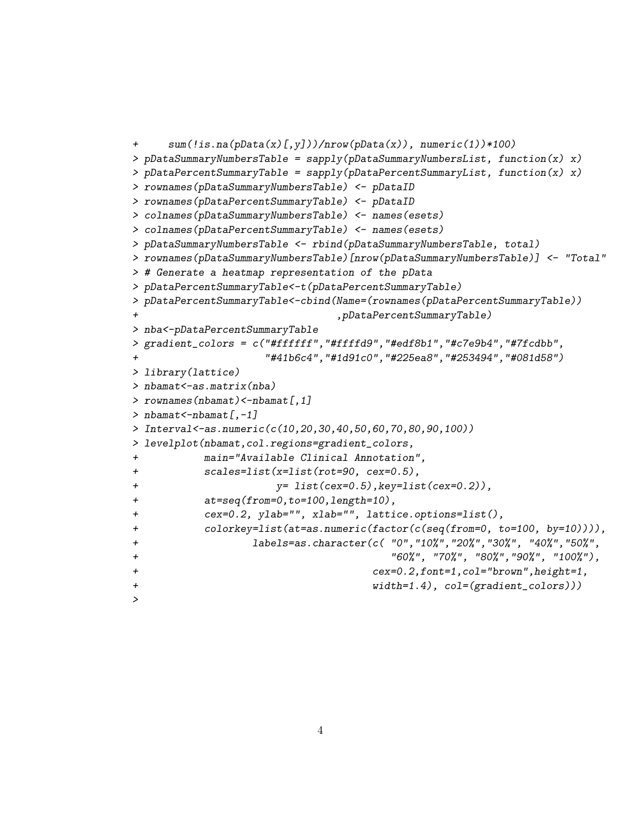```
+ sum(!is.na(pData(x)[,y]))/nrow(pData(x)), numeric(1))*100)
> pDataSummaryNumbersTable = sapply(pDataSummaryNumbersList, function(x) x)
> pDataPercentSummaryTable = sapply(pDataPercentSummaryList, function(x) x)
> rownames(pDataSummaryNumbersTable) <- pDataID
> rownames(pDataPercentSummaryTable) <- pDataID
> colnames(pDataSummaryNumbersTable) <- names(esets)
> colnames(pDataPercentSummaryTable) <- names(esets)
> pDataSummaryNumbersTable <- rbind(pDataSummaryNumbersTable, total)
> rownames(pDataSummaryNumbersTable)[nrow(pDataSummaryNumbersTable)] <- "Total"
> # Generate a heatmap representation of the pData
> pDataPercentSummaryTable<-t(pDataPercentSummaryTable)
> pDataPercentSummaryTable<-cbind(Name=(rownames(pDataPercentSummaryTable))
+ ,pDataPercentSummaryTable)
> nba<-pDataPercentSummaryTable
> gradient_colors = c("#ffffff","#ffffd9","#edf8b1","#c7e9b4","#7fcdbb",
                   "#41b6c4", "#1d91c0", "#225ea8", "#253494", "#081d58")
> library(lattice)
> nbamat<-as.matrix(nba)
> rownames(nbamat)<-nbamat[,1]
> nbamat <- nbamat [,-1]
> Interval<-as.numeric(c(10,20,30,40,50,60,70,80,90,100))
> levelplot(nbamat,col.regions=gradient_colors,
+ main="Available Clinical Annotation",
+ scales=list(x=list(rot=90, cex=0.5),
+ y= list(cex=0.5),key=list(cex=0.2)),
+ at=seq(from=0,to=100,length=10),
+ cex=0.2, ylab="", xlab="", lattice.options=list(),
+ colorkey=list(at=as.numeric(factor(c(seq(from=0, to=100, by=10)))),
+ labels=as.character(c( "0","10%","20%","30%", "40%","50%",
+ "60%", "70%", "80%","90%", "100%"),
+ cex=0.2,font=1,col="brown",height=1,
+ width=1.4), col=(gradient_colors)))
>
```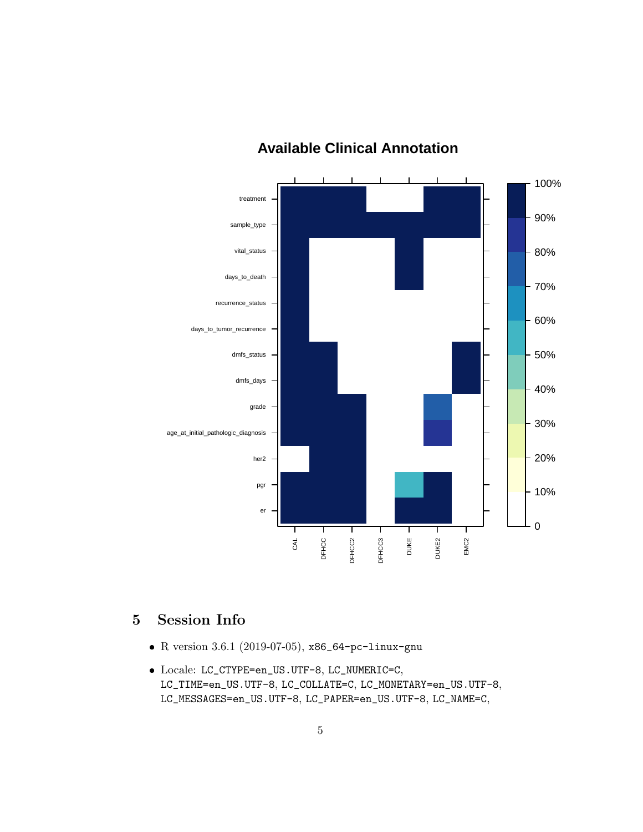

## **Available Clinical Annotation**

### 5 Session Info

- R version 3.6.1 (2019-07-05), x86\_64-pc-linux-gnu
- Locale: LC\_CTYPE=en\_US.UTF-8, LC\_NUMERIC=C, LC\_TIME=en\_US.UTF-8, LC\_COLLATE=C, LC\_MONETARY=en\_US.UTF-8, LC\_MESSAGES=en\_US.UTF-8, LC\_PAPER=en\_US.UTF-8, LC\_NAME=C,